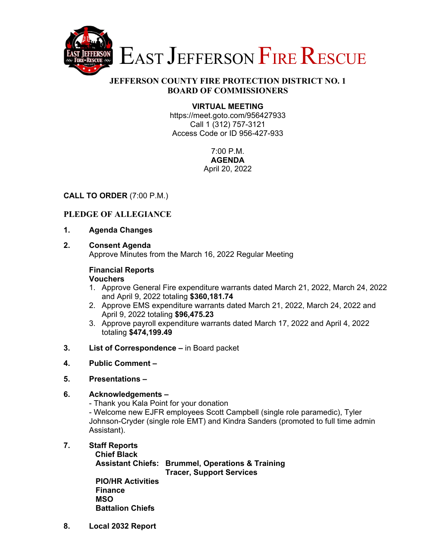

### **JEFFERSON COUNTY FIRE PROTECTION DISTRICT NO. 1 BOARD OF COMMISSIONERS**

### **VIRTUAL MEETING**

https://meet.goto.com/956427933 Call 1 (312) 757-3121 Access Code or ID 956-427-933

> 7:00 P.M. **AGENDA**  April 20, 2022

### **CALL TO ORDER** (7:00 P.M.)

### **PLEDGE OF ALLEGIANCE**

- **1. Agenda Changes**
- **2. Consent Agenda**

Approve Minutes from the March 16, 2022 Regular Meeting

#### **Financial Reports Vouchers**

- 1. Approve General Fire expenditure warrants dated March 21, 2022, March 24, 2022 and April 9, 2022 totaling **\$360,181.74**
- 2. Approve EMS expenditure warrants dated March 21, 2022, March 24, 2022 and April 9, 2022 totaling **\$96,475.23**
- 3. Approve payroll expenditure warrants dated March 17, 2022 and April 4, 2022 totaling **\$474,199.49**
- **3. List of Correspondence** in Board packet
- **4. Public Comment**
- **5. Presentations**

### **6. Acknowledgements –**

- Thank you Kala Point for your donation

- Welcome new EJFR employees Scott Campbell (single role paramedic), Tyler Johnson-Cryder (single role EMT) and Kindra Sanders (promoted to full time admin Assistant).

**7. Staff Reports**

**Chief Black** 

 **Assistant Chiefs: Brummel, Operations & Training Tracer, Support Services** 

 **PIO/HR Activities Finance MSO Battalion Chiefs** 

**8. Local 2032 Report**